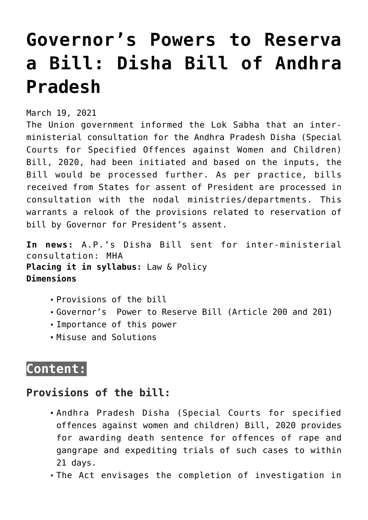# **[Governor's Powers to Reserva](https://journalsofindia.com/governors-powers-to-reserva-a-bill-disha-bill-of-andhra-pradesh/) [a Bill: Disha Bill of Andhra](https://journalsofindia.com/governors-powers-to-reserva-a-bill-disha-bill-of-andhra-pradesh/) [Pradesh](https://journalsofindia.com/governors-powers-to-reserva-a-bill-disha-bill-of-andhra-pradesh/)**

March 19, 2021

The Union government informed the Lok Sabha that an interministerial consultation for the Andhra Pradesh Disha (Special Courts for Specified Offences against Women and Children) Bill, 2020, had been initiated and based on the inputs, the Bill would be processed further. As per practice, bills received from States for assent of President are processed in consultation with the nodal ministries/departments. This warrants a relook of the provisions related to reservation of bill by Governor for President's assent.

**In news:** A.P.'s Disha Bill sent for inter-ministerial consultation: MHA **Placing it in syllabus:** Law & Policy **Dimensions**

- Provisions of the bill
- Governor's Power to Reserve Bill (Article 200 and 201)
- Importance of this power
- Misuse and Solutions

# **Content:**

## **Provisions of the bill:**

- Andhra Pradesh Disha (Special Courts for specified offences against women and children) Bill, 2020 provides for awarding death sentence for offences of rape and gangrape and expediting trials of such cases to within 21 days.
- The Act envisages the completion of investigation in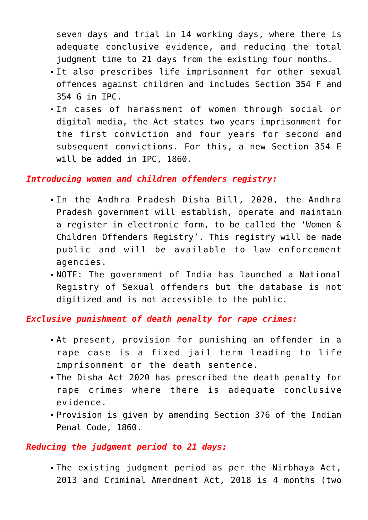seven days and trial in 14 working days, where there is adequate conclusive evidence, and reducing the total judgment time to 21 days from the existing four months.

- It also prescribes life imprisonment for other sexual offences against children and includes Section 354 F and 354 G in IPC.
- In cases of harassment of women through social or digital media, the Act states two years imprisonment for the first conviction and four years for second and subsequent convictions. For this, a new Section 354 E will be added in IPC, 1860.

#### *Introducing women and children offenders registry:*

- In the Andhra Pradesh Disha Bill, 2020, the Andhra Pradesh government will establish, operate and maintain a register in electronic form, to be called the 'Women & Children Offenders Registry'. This registry will be made public and will be available to law enforcement agencies.
- NOTE: The government of India has launched a National Registry of Sexual offenders but the database is not digitized and is not accessible to the public.

*Exclusive punishment of death penalty for rape crimes:*

- At present, provision for punishing an offender in a rape case is a fixed jail term leading to life imprisonment or the death sentence.
- The Disha Act 2020 has prescribed the death penalty for rape crimes where there is adequate conclusive evidence.
- Provision is given by amending Section 376 of the Indian Penal Code, 1860.

#### *Reducing the judgment period to 21 days:*

The existing judgment period as per the Nirbhaya Act, 2013 and Criminal Amendment Act, 2018 is 4 months (two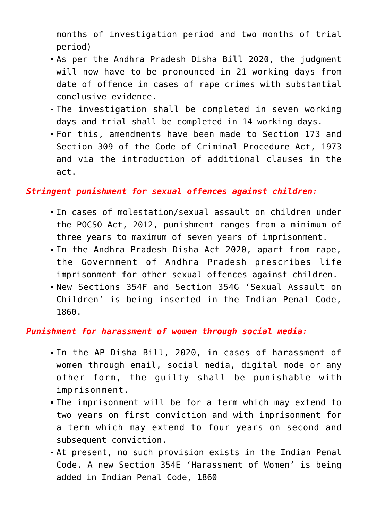months of investigation period and two months of trial period)

- As per the Andhra Pradesh Disha Bill 2020, the judgment will now have to be pronounced in 21 working days from date of offence in cases of rape crimes with substantial conclusive evidence.
- The investigation shall be completed in seven working days and trial shall be completed in 14 working days.
- For this, amendments have been made to Section 173 and Section 309 of the Code of Criminal Procedure Act, 1973 and via the introduction of additional clauses in the act.

### *Stringent punishment for sexual offences against children:*

- In cases of molestation/sexual assault on children under the POCSO Act, 2012, punishment ranges from a minimum of three years to maximum of seven years of imprisonment.
- In the Andhra Pradesh Disha Act 2020, apart from rape, the Government of Andhra Pradesh prescribes life imprisonment for other sexual offences against children.
- New Sections 354F and Section 354G 'Sexual Assault on Children' is being inserted in the Indian Penal Code, 1860.

### *Punishment for harassment of women through social media:*

- In the AP Disha Bill, 2020, in cases of harassment of women through email, social media, digital mode or any other form, the guilty shall be punishable with imprisonment.
- The imprisonment will be for a term which may extend to two years on first conviction and with imprisonment for a term which may extend to four years on second and subsequent conviction.
- At present, no such provision exists in the Indian Penal Code. A new Section 354E 'Harassment of Women' is being added in Indian Penal Code, 1860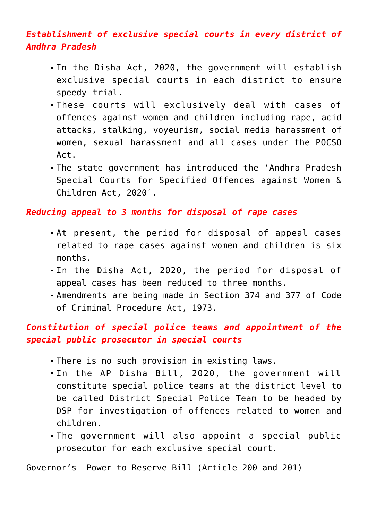## *Establishment of exclusive special courts in every district of Andhra Pradesh*

- In the Disha Act, 2020, the government will establish exclusive special courts in each district to ensure speedy trial.
- These courts will exclusively deal with cases of offences against women and children including rape, acid attacks, stalking, voyeurism, social media harassment of women, sexual harassment and all cases under the POCSO Act.
- The state government has introduced the 'Andhra Pradesh Special Courts for Specified Offences against Women & Children Act, 2020′.

### *Reducing appeal to 3 months for disposal of rape cases*

- At present, the period for disposal of appeal cases related to rape cases against women and children is six months.
- In the Disha Act, 2020, the period for disposal of appeal cases has been reduced to three months.
- Amendments are being made in Section 374 and 377 of Code of Criminal Procedure Act, 1973.

## *Constitution of special police teams and appointment of the special public prosecutor in special courts*

- There is no such provision in existing laws.
- In the AP Disha Bill, 2020, the government will constitute special police teams at the district level to be called District Special Police Team to be headed by DSP for investigation of offences related to women and children.
- The government will also appoint a special public prosecutor for each exclusive special court.

Governor's Power to Reserve Bill (Article 200 and 201)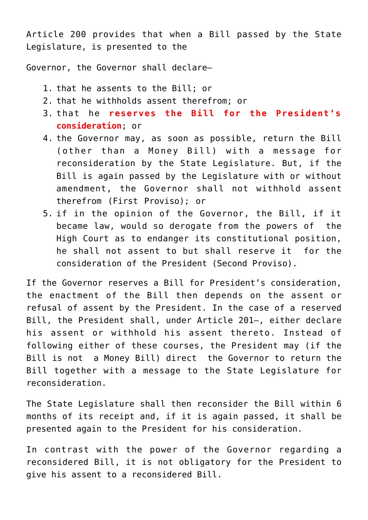Article 200 provides that when a Bill passed by the State Legislature, is presented to the

Governor, the Governor shall declare—

- 1. that he assents to the Bill; or
- 2. that he withholds assent therefrom; or
- 3. that he **reserves the Bill for the President's consideration**; or
- 4. the Governor may, as soon as possible, return the Bill (other than a Money Bill) with a message for reconsideration by the State Legislature. But, if the Bill is again passed by the Legislature with or without amendment, the Governor shall not withhold assent therefrom (First Proviso); or
- 5. if in the opinion of the Governor, the Bill, if it became law, would so derogate from the powers of the High Court as to endanger its constitutional position, he shall not assent to but shall reserve it for the consideration of the President (Second Proviso).

If the Governor reserves a Bill for President's consideration, the enactment of the Bill then depends on the assent or refusal of assent by the President. In the case of a reserved Bill, the President shall, under Article 201—, either declare his assent or withhold his assent thereto. Instead of following either of these courses, the President may (if the Bill is not a Money Bill) direct the Governor to return the Bill together with a message to the State Legislature for reconsideration.

The State Legislature shall then reconsider the Bill within 6 months of its receipt and, if it is again passed, it shall be presented again to the President for his consideration.

In contrast with the power of the Governor regarding a reconsidered Bill, it is not obligatory for the President to give his assent to a reconsidered Bill.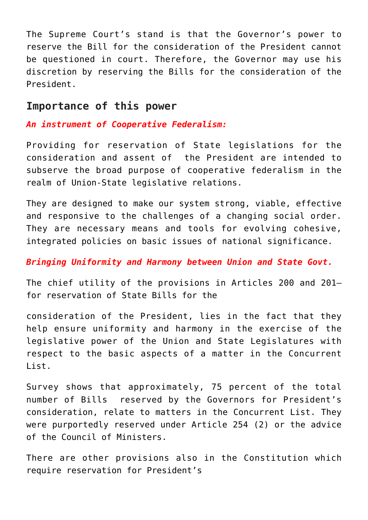The Supreme Court's stand is that the Governor's power to reserve the Bill for the consideration of the President cannot be questioned in court. Therefore, the Governor may use his discretion by reserving the Bills for the consideration of the President.

## **Importance of this power**

## *An instrument of Cooperative Federalism:*

Providing for reservation of State legislations for the consideration and assent of the President are intended to subserve the broad purpose of cooperative federalism in the realm of Union-State legislative relations.

They are designed to make our system strong, viable, effective and responsive to the challenges of a changing social order. They are necessary means and tools for evolving cohesive, integrated policies on basic issues of national significance.

## *Bringing Uniformity and Harmony between Union and State Govt.*

The chief utility of the provisions in Articles 200 and 201 for reservation of State Bills for the

consideration of the President, lies in the fact that they help ensure uniformity and harmony in the exercise of the legislative power of the Union and State Legislatures with respect to the basic aspects of a matter in the Concurrent List.

Survey shows that approximately, 75 percent of the total number of Bills reserved by the Governors for President's consideration, relate to matters in the Concurrent List. They were purportedly reserved under Article 254 (2) or the advice of the Council of Ministers.

There are other provisions also in the Constitution which require reservation for President's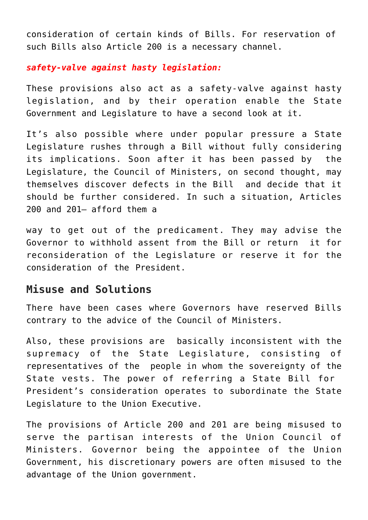consideration of certain kinds of Bills. For reservation of such Bills also Article 200 is a necessary channel.

### *safety-valve against hasty legislation:*

These provisions also act as a safety-valve against hasty legislation, and by their operation enable the State Government and Legislature to have a second look at it.

It's also possible where under popular pressure a State Legislature rushes through a Bill without fully considering its implications. Soon after it has been passed by the Legislature, the Council of Ministers, on second thought, may themselves discover defects in the Bill and decide that it should be further considered. In such a situation, Articles 200 and 201— afford them a

way to get out of the predicament. They may advise the Governor to withhold assent from the Bill or return it for reconsideration of the Legislature or reserve it for the consideration of the President.

## **Misuse and Solutions**

There have been cases where Governors have reserved Bills contrary to the advice of the Council of Ministers.

Also, these provisions are basically inconsistent with the supremacy of the State Legislature, consisting of representatives of the people in whom the sovereignty of the State vests. The power of referring a State Bill for President's consideration operates to subordinate the State Legislature to the Union Executive.

The provisions of Article 200 and 201 are being misused to serve the partisan interests of the Union Council of Ministers. Governor being the appointee of the Union Government, his discretionary powers are often misused to the advantage of the Union government.